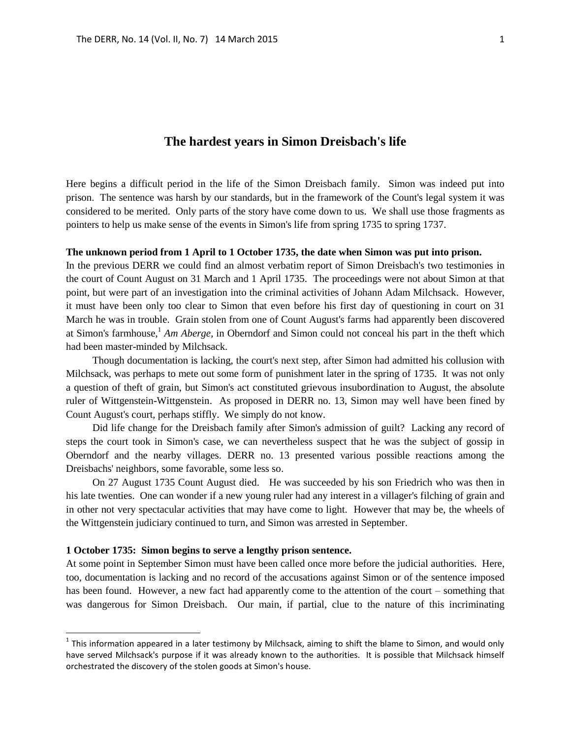# **The hardest years in Simon Dreisbach's life**

Here begins a difficult period in the life of the Simon Dreisbach family. Simon was indeed put into prison. The sentence was harsh by our standards, but in the framework of the Count's legal system it was considered to be merited. Only parts of the story have come down to us. We shall use those fragments as pointers to help us make sense of the events in Simon's life from spring 1735 to spring 1737.

### **The unknown period from 1 April to 1 October 1735, the date when Simon was put into prison.**

In the previous DERR we could find an almost verbatim report of Simon Dreisbach's two testimonies in the court of Count August on 31 March and 1 April 1735. The proceedings were not about Simon at that point, but were part of an investigation into the criminal activities of Johann Adam Milchsack. However, it must have been only too clear to Simon that even before his first day of questioning in court on 31 March he was in trouble. Grain stolen from one of Count August's farms had apparently been discovered at Simon's farmhouse,<sup>1</sup> *Am Aberge*, in Oberndorf and Simon could not conceal his part in the theft which had been master-minded by Milchsack.

Though documentation is lacking, the court's next step, after Simon had admitted his collusion with Milchsack, was perhaps to mete out some form of punishment later in the spring of 1735. It was not only a question of theft of grain, but Simon's act constituted grievous insubordination to August, the absolute ruler of Wittgenstein-Wittgenstein. As proposed in DERR no. 13, Simon may well have been fined by Count August's court, perhaps stiffly. We simply do not know.

Did life change for the Dreisbach family after Simon's admission of guilt? Lacking any record of steps the court took in Simon's case, we can nevertheless suspect that he was the subject of gossip in Oberndorf and the nearby villages. DERR no. 13 presented various possible reactions among the Dreisbachs' neighbors, some favorable, some less so.

On 27 August 1735 Count August died. He was succeeded by his son Friedrich who was then in his late twenties. One can wonder if a new young ruler had any interest in a villager's filching of grain and in other not very spectacular activities that may have come to light. However that may be, the wheels of the Wittgenstein judiciary continued to turn, and Simon was arrested in September.

#### **1 October 1735: Simon begins to serve a lengthy prison sentence.**

 $\overline{a}$ 

At some point in September Simon must have been called once more before the judicial authorities. Here, too, documentation is lacking and no record of the accusations against Simon or of the sentence imposed has been found. However, a new fact had apparently come to the attention of the court – something that was dangerous for Simon Dreisbach. Our main, if partial, clue to the nature of this incriminating

 $^1$  This information appeared in a later testimony by Milchsack, aiming to shift the blame to Simon, and would only have served Milchsack's purpose if it was already known to the authorities. It is possible that Milchsack himself orchestrated the discovery of the stolen goods at Simon's house.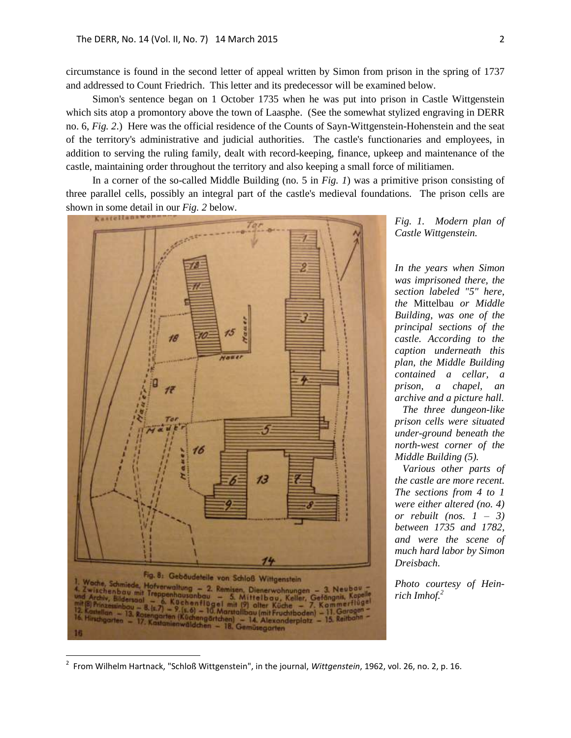circumstance is found in the second letter of appeal written by Simon from prison in the spring of 1737 and addressed to Count Friedrich. This letter and its predecessor will be examined below.

Simon's sentence began on 1 October 1735 when he was put into prison in Castle Wittgenstein which sits atop a promontory above the town of Laasphe. (See the somewhat stylized engraving in DERR no. 6, *Fig. 2*.) Here was the official residence of the Counts of Sayn-Wittgenstein-Hohenstein and the seat of the territory's administrative and judicial authorities. The castle's functionaries and employees, in addition to serving the ruling family, dealt with record-keeping, finance, upkeep and maintenance of the castle, maintaining order throughout the territory and also keeping a small force of militiamen.

In a corner of the so-called Middle Building (no. 5 in *Fig. 1*) was a primitive prison consisting of three parallel cells, possibly an integral part of the castle's medieval foundations. The prison cells are shown in some detail in our *Fig. 2* below.



*Fig. 1. Modern plan of Castle Wittgenstein.* 

*In the years when Simon was imprisoned there, the section labeled "5" here, the* Mittelbau *or Middle Building, was one of the principal sections of the castle. According to the caption underneath this plan, the Middle Building contained a cellar, a prison, a chapel, an archive and a picture hall.* 

 *The three dungeon-like prison cells were situated under-ground beneath the north-west corner of the Middle Building (5).*

 *Various other parts of the castle are more recent. The sections from 4 to 1 were either altered (no. 4) or rebuilt (nos. 1 – 3) between 1735 and 1782, and were the scene of much hard labor by Simon Dreisbach.*

*Photo courtesy of Heinrich Imhof. 2*

 $\overline{a}$ 

<sup>2</sup> From Wilhelm Hartnack, "Schloß Wittgenstein", in the journal, *Wittgenstein*, 1962, vol. 26, no. 2, p. 16.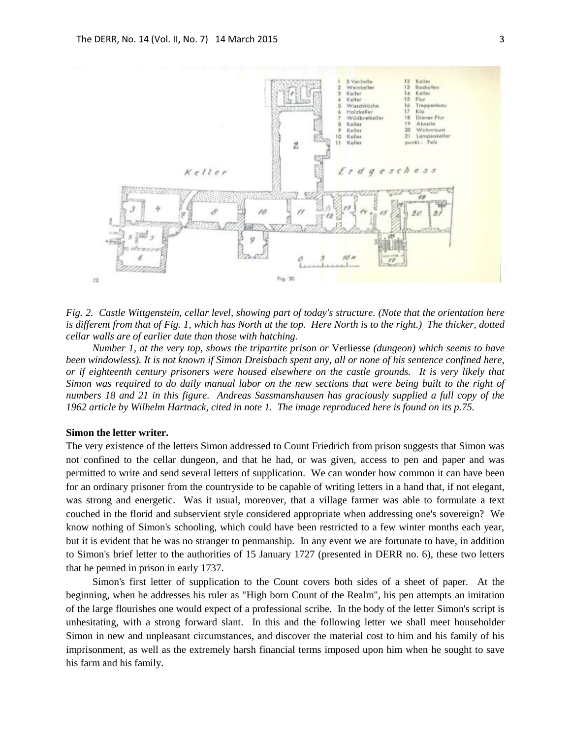

*Fig. 2. Castle Wittgenstein, cellar level, showing part of today's structure. (Note that the orientation here is different from that of Fig. 1, which has North at the top. Here North is to the right.) The thicker, dotted cellar walls are of earlier date than those with hatching.* 

*Number 1, at the very top, shows the tripartite prison or* Verliesse *(dungeon) which seems to have been windowless). It is not known if Simon Dreisbach spent any, all or none of his sentence confined here, or if eighteenth century prisoners were housed elsewhere on the castle grounds. It is very likely that Simon was required to do daily manual labor on the new sections that were being built to the right of numbers 18 and 21 in this figure. Andreas Sassmanshausen has graciously supplied a full copy of the 1962 article by Wilhelm Hartnack, cited in note 1. The image reproduced here is found on its p.75.*

#### **Simon the letter writer.**

The very existence of the letters Simon addressed to Count Friedrich from prison suggests that Simon was not confined to the cellar dungeon, and that he had, or was given, access to pen and paper and was permitted to write and send several letters of supplication. We can wonder how common it can have been for an ordinary prisoner from the countryside to be capable of writing letters in a hand that, if not elegant, was strong and energetic. Was it usual, moreover, that a village farmer was able to formulate a text couched in the florid and subservient style considered appropriate when addressing one's sovereign? We know nothing of Simon's schooling, which could have been restricted to a few winter months each year, but it is evident that he was no stranger to penmanship. In any event we are fortunate to have, in addition to Simon's brief letter to the authorities of 15 January 1727 (presented in DERR no. 6), these two letters that he penned in prison in early 1737.

Simon's first letter of supplication to the Count covers both sides of a sheet of paper. At the beginning, when he addresses his ruler as "High born Count of the Realm", his pen attempts an imitation of the large flourishes one would expect of a professional scribe. In the body of the letter Simon's script is unhesitating, with a strong forward slant. In this and the following letter we shall meet householder Simon in new and unpleasant circumstances, and discover the material cost to him and his family of his imprisonment, as well as the extremely harsh financial terms imposed upon him when he sought to save his farm and his family.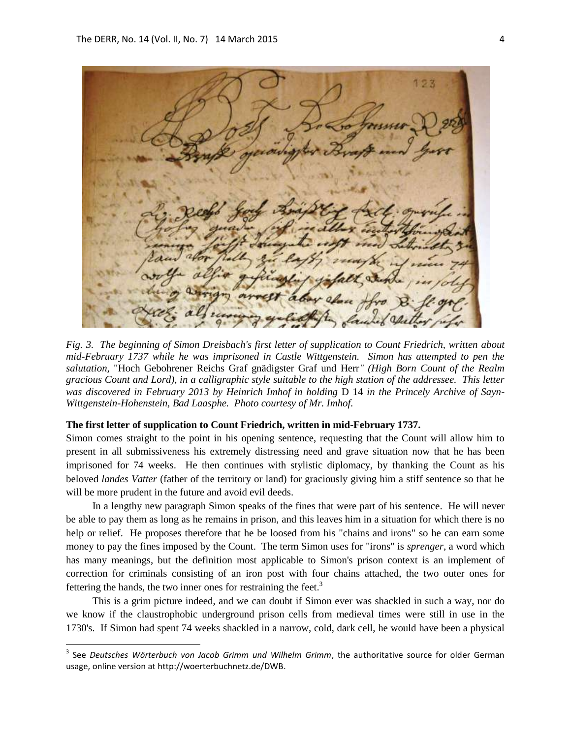$1.2.3$ 

*Fig. 3. The beginning of Simon Dreisbach's first letter of supplication to Count Friedrich, written about mid-February 1737 while he was imprisoned in Castle Wittgenstein. Simon has attempted to pen the salutation,* "Hoch Gebohrener Reichs Graf gnädigster Graf und Herr*" (High Born Count of the Realm gracious Count and Lord), in a calligraphic style suitable to the high station of the addressee. This letter*  was discovered in February 2013 by Heinrich Imhof in holding D 14 in the Princely Archive of Sayn-*Wittgenstein-Hohenstein, Bad Laasphe. Photo courtesy of Mr. Imhof.*

#### **The first letter of supplication to Count Friedrich, written in mid-February 1737.**

Simon comes straight to the point in his opening sentence, requesting that the Count will allow him to present in all submissiveness his extremely distressing need and grave situation now that he has been imprisoned for 74 weeks. He then continues with stylistic diplomacy, by thanking the Count as his beloved *landes Vatter* (father of the territory or land) for graciously giving him a stiff sentence so that he will be more prudent in the future and avoid evil deeds.

In a lengthy new paragraph Simon speaks of the fines that were part of his sentence. He will never be able to pay them as long as he remains in prison, and this leaves him in a situation for which there is no help or relief. He proposes therefore that he be loosed from his "chains and irons" so he can earn some money to pay the fines imposed by the Count. The term Simon uses for "irons" is *sprenger*, a word which has many meanings, but the definition most applicable to Simon's prison context is an implement of correction for criminals consisting of an iron post with four chains attached, the two outer ones for fettering the hands, the two inner ones for restraining the feet. $3$ 

This is a grim picture indeed, and we can doubt if Simon ever was shackled in such a way, nor do we know if the claustrophobic underground prison cells from medieval times were still in use in the 1730's. If Simon had spent 74 weeks shackled in a narrow, cold, dark cell, he would have been a physical

 3 See *Deutsches Wörterbuch von Jacob Grimm und Wilhelm Grimm*, the authoritative source for older German usage, online version at http://woerterbuchnetz.de/DWB.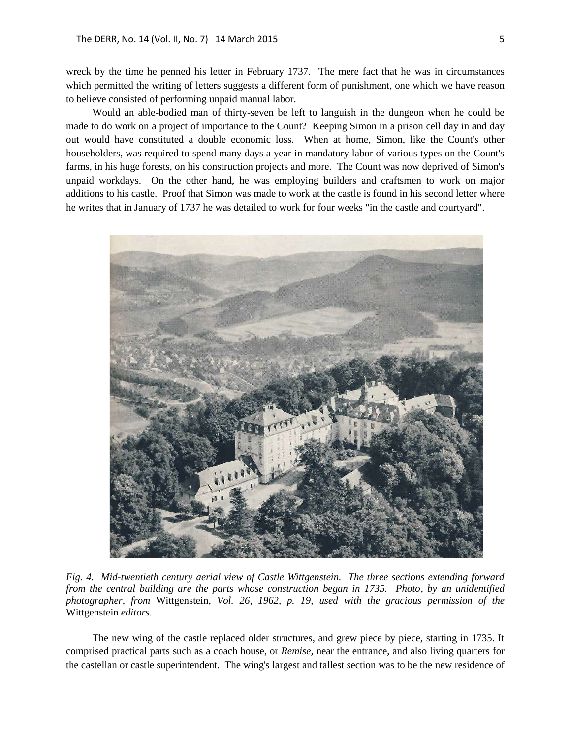wreck by the time he penned his letter in February 1737. The mere fact that he was in circumstances which permitted the writing of letters suggests a different form of punishment, one which we have reason to believe consisted of performing unpaid manual labor.

Would an able-bodied man of thirty-seven be left to languish in the dungeon when he could be made to do work on a project of importance to the Count? Keeping Simon in a prison cell day in and day out would have constituted a double economic loss. When at home, Simon, like the Count's other householders, was required to spend many days a year in mandatory labor of various types on the Count's farms, in his huge forests, on his construction projects and more. The Count was now deprived of Simon's unpaid workdays. On the other hand, he was employing builders and craftsmen to work on major additions to his castle. Proof that Simon was made to work at the castle is found in his second letter where he writes that in January of 1737 he was detailed to work for four weeks "in the castle and courtyard".



*Fig. 4. Mid-twentieth century aerial view of Castle Wittgenstein. The three sections extending forward from the central building are the parts whose construction began in 1735. Photo, by an unidentified photographer, from* Wittgenstein, *Vol. 26, 1962, p. 19, used with the gracious permission of the*  Wittgenstein *editors.*

The new wing of the castle replaced older structures, and grew piece by piece, starting in 1735. It comprised practical parts such as a coach house, or *Remise,* near the entrance, and also living quarters for the castellan or castle superintendent. The wing's largest and tallest section was to be the new residence of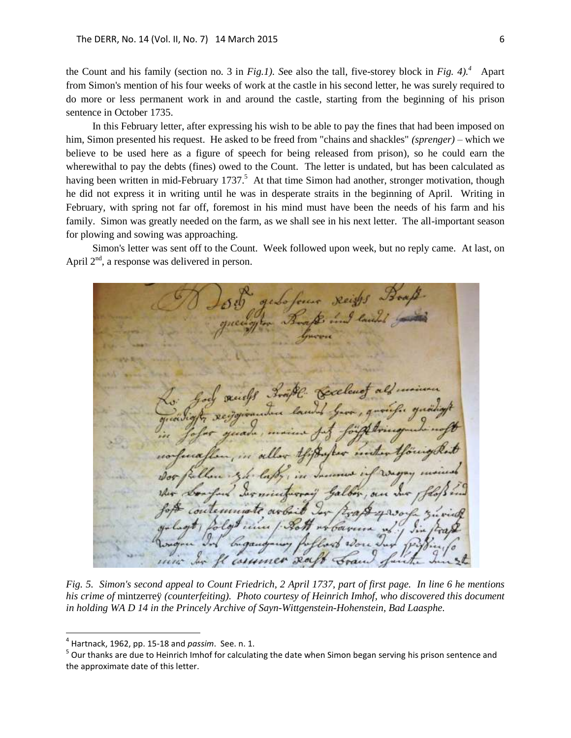the Count and his family (section no. 3 in *Fig.1). S*ee also the tall, five-storey block in *Fig. 4).<sup>4</sup>* Apart from Simon's mention of his four weeks of work at the castle in his second letter, he was surely required to do more or less permanent work in and around the castle, starting from the beginning of his prison sentence in October 1735.

In this February letter, after expressing his wish to be able to pay the fines that had been imposed on him, Simon presented his request. He asked to be freed from "chains and shackles" *(sprenger)* – which we believe to be used here as a figure of speech for being released from prison), so he could earn the wherewithal to pay the debts (fines) owed to the Count. The letter is undated, but has been calculated as having been written in mid-February 1737.<sup>5</sup> At that time Simon had another, stronger motivation, though he did not express it in writing until he was in desperate straits in the beginning of April. Writing in February, with spring not far off, foremost in his mind must have been the needs of his farm and his family. Simon was greatly needed on the farm, as we shall see in his next letter. The all-important season for plowing and sowing was approaching.

Simon's letter was sent off to the Count. Week followed upon week, but no reply came. At last, on April  $2<sup>nd</sup>$ , a response was delivered in person.

Reist  $x_{\alpha}$ commen

*Fig. 5. Simon's second appeal to Count Friedrich, 2 April 1737, part of first page. In line 6 he mentions his crime of* mintzerreÿ *(counterfeiting). Photo courtesy of Heinrich Imhof, who discovered this document in holding WA D 14 in the Princely Archive of Sayn-Wittgenstein-Hohenstein, Bad Laasphe.*

 $\overline{a}$ 

<sup>4</sup> Hartnack, 1962, pp. 15-18 and *passim*. See. n. 1.

<sup>&</sup>lt;sup>5</sup> Our thanks are due to Heinrich Imhof for calculating the date when Simon began serving his prison sentence and the approximate date of this letter.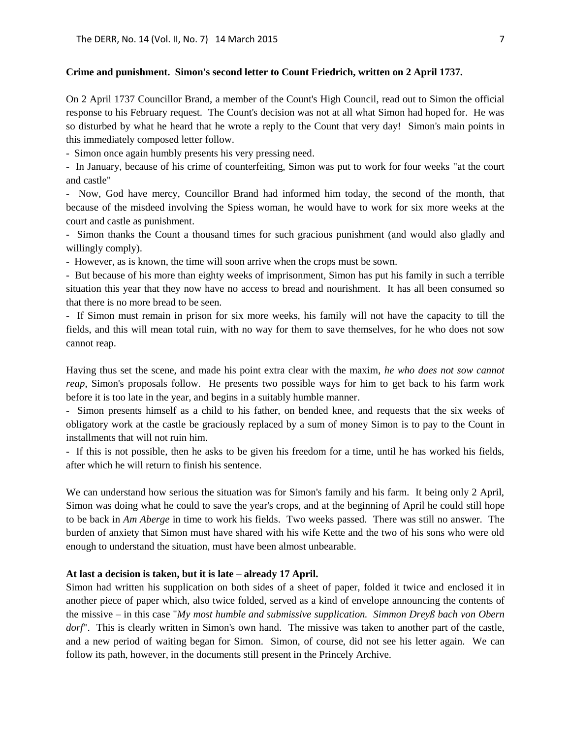## **Crime and punishment. Simon's second letter to Count Friedrich, written on 2 April 1737.**

On 2 April 1737 Councillor Brand, a member of the Count's High Council, read out to Simon the official response to his February request. The Count's decision was not at all what Simon had hoped for. He was so disturbed by what he heard that he wrote a reply to the Count that very day! Simon's main points in this immediately composed letter follow.

- Simon once again humbly presents his very pressing need.

- In January, because of his crime of counterfeiting, Simon was put to work for four weeks "at the court and castle"

- Now, God have mercy, Councillor Brand had informed him today, the second of the month, that because of the misdeed involving the Spiess woman, he would have to work for six more weeks at the court and castle as punishment.

- Simon thanks the Count a thousand times for such gracious punishment (and would also gladly and willingly comply).

- However, as is known, the time will soon arrive when the crops must be sown.

- But because of his more than eighty weeks of imprisonment, Simon has put his family in such a terrible situation this year that they now have no access to bread and nourishment. It has all been consumed so that there is no more bread to be seen.

- If Simon must remain in prison for six more weeks, his family will not have the capacity to till the fields, and this will mean total ruin, with no way for them to save themselves, for he who does not sow cannot reap.

Having thus set the scene, and made his point extra clear with the maxim, *he who does not sow cannot reap*, Simon's proposals follow. He presents two possible ways for him to get back to his farm work before it is too late in the year, and begins in a suitably humble manner.

- Simon presents himself as a child to his father, on bended knee, and requests that the six weeks of obligatory work at the castle be graciously replaced by a sum of money Simon is to pay to the Count in installments that will not ruin him.

- If this is not possible, then he asks to be given his freedom for a time, until he has worked his fields, after which he will return to finish his sentence.

We can understand how serious the situation was for Simon's family and his farm. It being only 2 April, Simon was doing what he could to save the year's crops, and at the beginning of April he could still hope to be back in *Am Aberge* in time to work his fields. Two weeks passed. There was still no answer. The burden of anxiety that Simon must have shared with his wife Kette and the two of his sons who were old enough to understand the situation, must have been almost unbearable.

### **At last a decision is taken, but it is late – already 17 April.**

Simon had written his supplication on both sides of a sheet of paper, folded it twice and enclosed it in another piece of paper which, also twice folded, served as a kind of envelope announcing the contents of the missive – in this case "*My most humble and submissive supplication. Simmon Dreyß bach von Obern dorf*". This is clearly written in Simon's own hand. The missive was taken to another part of the castle, and a new period of waiting began for Simon. Simon, of course, did not see his letter again. We can follow its path, however, in the documents still present in the Princely Archive.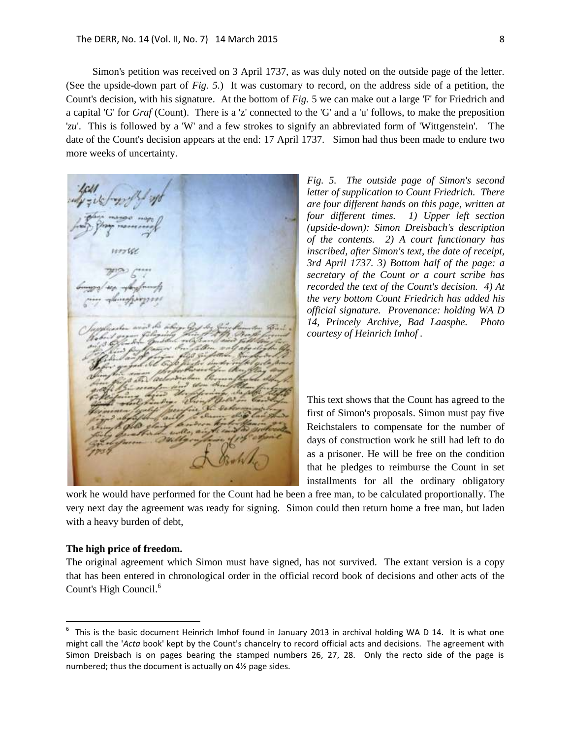Simon's petition was received on 3 April 1737, as was duly noted on the outside page of the letter. (See the upside-down part of *Fig. 5.*) It was customary to record, on the address side of a petition, the Count's decision, with his signature. At the bottom of *Fig.* 5 we can make out a large 'F' for Friedrich and a capital 'G' for *Graf* (Count). There is a 'z' connected to the 'G' and a 'u' follows, to make the preposition '*zu*'. This is followed by a 'W' and a few strokes to signify an abbreviated form of 'Wittgenstein'. The date of the Count's decision appears at the end: 17 April 1737. Simon had thus been made to endure two more weeks of uncertainty.

*Fig. 5. The outside page of Simon's second letter of supplication to Count Friedrich. There are four different hands on this page, written at four different times. 1) Upper left section (upside-down): Simon Dreisbach's description of the contents. 2) A court functionary has inscribed, after Simon's text, the date of receipt, 3rd April 1737. 3) Bottom half of the page: a secretary of the Count or a court scribe has recorded the text of the Count's decision. 4) At the very bottom Count Friedrich has added his official signature. Provenance: holding WA D 14, Princely Archive, Bad Laasphe. Photo courtesy of Heinrich Imhof .* 

This text shows that the Count has agreed to the first of Simon's proposals. Simon must pay five Reichstalers to compensate for the number of days of construction work he still had left to do as a prisoner. He will be free on the condition that he pledges to reimburse the Count in set installments for all the ordinary obligatory

work he would have performed for the Count had he been a free man, to be calculated proportionally. The very next day the agreement was ready for signing. Simon could then return home a free man, but laden with a heavy burden of debt,

#### **The high price of freedom.**

 $\overline{a}$ 

The original agreement which Simon must have signed, has not survived. The extant version is a copy that has been entered in chronological order in the official record book of decisions and other acts of the Count's High Council.<sup>6</sup>

 $6$  This is the basic document Heinrich Imhof found in January 2013 in archival holding WA D 14. It is what one might call the '*Acta* book' kept by the Count's chancelry to record official acts and decisions. The agreement with Simon Dreisbach is on pages bearing the stamped numbers 26, 27, 28. Only the recto side of the page is numbered; thus the document is actually on 4½ page sides.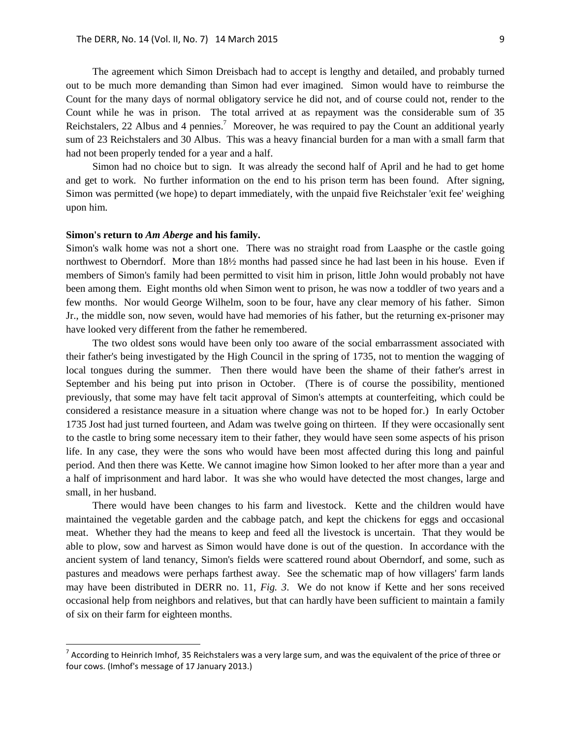The agreement which Simon Dreisbach had to accept is lengthy and detailed, and probably turned out to be much more demanding than Simon had ever imagined. Simon would have to reimburse the Count for the many days of normal obligatory service he did not, and of course could not, render to the Count while he was in prison. The total arrived at as repayment was the considerable sum of 35 Reichstalers, 22 Albus and 4 pennies.<sup>7</sup> Moreover, he was required to pay the Count an additional yearly sum of 23 Reichstalers and 30 Albus. This was a heavy financial burden for a man with a small farm that had not been properly tended for a year and a half.

Simon had no choice but to sign. It was already the second half of April and he had to get home and get to work. No further information on the end to his prison term has been found. After signing, Simon was permitted (we hope) to depart immediately, with the unpaid five Reichstaler 'exit fee' weighing upon him.

#### **Simon's return to** *Am Aberge* **and his family.**

Simon's walk home was not a short one. There was no straight road from Laasphe or the castle going northwest to Oberndorf. More than 18½ months had passed since he had last been in his house. Even if members of Simon's family had been permitted to visit him in prison, little John would probably not have been among them. Eight months old when Simon went to prison, he was now a toddler of two years and a few months. Nor would George Wilhelm, soon to be four, have any clear memory of his father. Simon Jr., the middle son, now seven, would have had memories of his father, but the returning ex-prisoner may have looked very different from the father he remembered.

The two oldest sons would have been only too aware of the social embarrassment associated with their father's being investigated by the High Council in the spring of 1735, not to mention the wagging of local tongues during the summer. Then there would have been the shame of their father's arrest in September and his being put into prison in October. (There is of course the possibility, mentioned previously, that some may have felt tacit approval of Simon's attempts at counterfeiting, which could be considered a resistance measure in a situation where change was not to be hoped for.) In early October 1735 Jost had just turned fourteen, and Adam was twelve going on thirteen. If they were occasionally sent to the castle to bring some necessary item to their father, they would have seen some aspects of his prison life. In any case, they were the sons who would have been most affected during this long and painful period. And then there was Kette. We cannot imagine how Simon looked to her after more than a year and a half of imprisonment and hard labor. It was she who would have detected the most changes, large and small, in her husband.

There would have been changes to his farm and livestock. Kette and the children would have maintained the vegetable garden and the cabbage patch, and kept the chickens for eggs and occasional meat. Whether they had the means to keep and feed all the livestock is uncertain. That they would be able to plow, sow and harvest as Simon would have done is out of the question. In accordance with the ancient system of land tenancy, Simon's fields were scattered round about Oberndorf, and some, such as pastures and meadows were perhaps farthest away. See the schematic map of how villagers' farm lands may have been distributed in DERR no. 11, *Fig. 3*. We do not know if Kette and her sons received occasional help from neighbors and relatives, but that can hardly have been sufficient to maintain a family of six on their farm for eighteen months.

 7 According to Heinrich Imhof, 35 Reichstalers was a very large sum, and was the equivalent of the price of three or four cows. (Imhof's message of 17 January 2013.)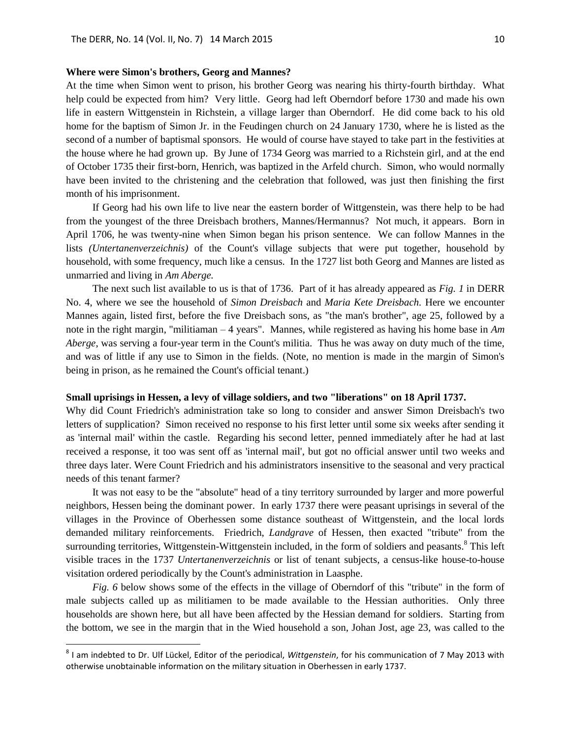### **Where were Simon's brothers, Georg and Mannes?**

At the time when Simon went to prison, his brother Georg was nearing his thirty-fourth birthday. What help could be expected from him? Very little. Georg had left Oberndorf before 1730 and made his own life in eastern Wittgenstein in Richstein, a village larger than Oberndorf. He did come back to his old home for the baptism of Simon Jr. in the Feudingen church on 24 January 1730, where he is listed as the second of a number of baptismal sponsors. He would of course have stayed to take part in the festivities at the house where he had grown up. By June of 1734 Georg was married to a Richstein girl, and at the end of October 1735 their first-born, Henrich, was baptized in the Arfeld church. Simon, who would normally have been invited to the christening and the celebration that followed, was just then finishing the first month of his imprisonment.

If Georg had his own life to live near the eastern border of Wittgenstein, was there help to be had from the youngest of the three Dreisbach brothers, Mannes/Hermannus? Not much, it appears. Born in April 1706, he was twenty-nine when Simon began his prison sentence. We can follow Mannes in the lists *(Untertanenverzeichnis)* of the Count's village subjects that were put together, household by household, with some frequency, much like a census. In the 1727 list both Georg and Mannes are listed as unmarried and living in *Am Aberge.* 

The next such list available to us is that of 1736. Part of it has already appeared as *Fig. 1* in DERR No. 4, where we see the household of *Simon Dreisbach* and *Maria Kete Dreisbach.* Here we encounter Mannes again, listed first, before the five Dreisbach sons, as "the man's brother", age 25, followed by a note in the right margin, "militiaman – 4 years". Mannes, while registered as having his home base in *Am Aberge*, was serving a four-year term in the Count's militia. Thus he was away on duty much of the time, and was of little if any use to Simon in the fields. (Note, no mention is made in the margin of Simon's being in prison, as he remained the Count's official tenant.)

### **Small uprisings in Hessen, a levy of village soldiers, and two "liberations" on 18 April 1737.**

Why did Count Friedrich's administration take so long to consider and answer Simon Dreisbach's two letters of supplication? Simon received no response to his first letter until some six weeks after sending it as 'internal mail' within the castle. Regarding his second letter, penned immediately after he had at last received a response, it too was sent off as 'internal mail', but got no official answer until two weeks and three days later. Were Count Friedrich and his administrators insensitive to the seasonal and very practical needs of this tenant farmer?

It was not easy to be the "absolute" head of a tiny territory surrounded by larger and more powerful neighbors, Hessen being the dominant power. In early 1737 there were peasant uprisings in several of the villages in the Province of Oberhessen some distance southeast of Wittgenstein, and the local lords demanded military reinforcements. Friedrich, *Landgrave* of Hessen, then exacted "tribute" from the surrounding territories, Wittgenstein-Wittgenstein included, in the form of soldiers and peasants.<sup>8</sup> This left visible traces in the 1737 *Untertanenverzeichnis* or list of tenant subjects, a census-like house-to-house visitation ordered periodically by the Count's administration in Laasphe.

*Fig. 6* below shows some of the effects in the village of Oberndorf of this "tribute" in the form of male subjects called up as militiamen to be made available to the Hessian authorities. Only three households are shown here, but all have been affected by the Hessian demand for soldiers. Starting from the bottom, we see in the margin that in the Wied household a son, Johan Jost, age 23, was called to the

 8 I am indebted to Dr. Ulf Lückel, Editor of the periodical, *Wittgenstein*, for his communication of 7 May 2013 with otherwise unobtainable information on the military situation in Oberhessen in early 1737.